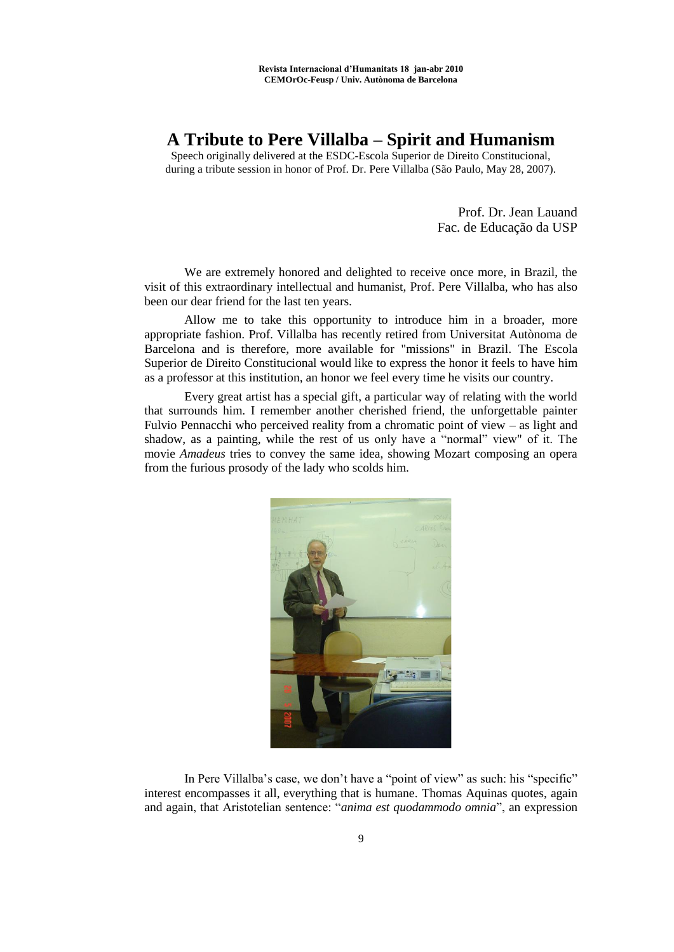## **A Tribute to Pere Villalba – Spirit and Humanism**

Speech originally delivered at the ESDC-Escola Superior de Direito Constitucional, during a tribute session in honor of Prof. Dr. Pere Villalba (São Paulo, May 28, 2007).

> Prof. Dr. Jean Lauand Fac. de Educação da USP

We are extremely honored and delighted to receive once more, in Brazil, the visit of this extraordinary intellectual and humanist, Prof. Pere Villalba, who has also been our dear friend for the last ten years.

Allow me to take this opportunity to introduce him in a broader, more appropriate fashion. Prof. Villalba has recently retired from Universitat Autònoma de Barcelona and is therefore, more available for "missions" in Brazil. The Escola Superior de Direito Constitucional would like to express the honor it feels to have him as a professor at this institution, an honor we feel every time he visits our country.

Every great artist has a special gift, a particular way of relating with the world that surrounds him. I remember another cherished friend, the unforgettable painter Fulvio Pennacchi who perceived reality from a chromatic point of view – as light and shadow, as a painting, while the rest of us only have a "normal" view" of it. The movie *Amadeus* tries to convey the same idea, showing Mozart composing an opera from the furious prosody of the lady who scolds him.



In Pere Villalba's case, we don't have a "point of view" as such: his "specific" interest encompasses it all, everything that is humane. Thomas Aquinas quotes, again and again, that Aristotelian sentence: "anima est quodammodo omnia", an expression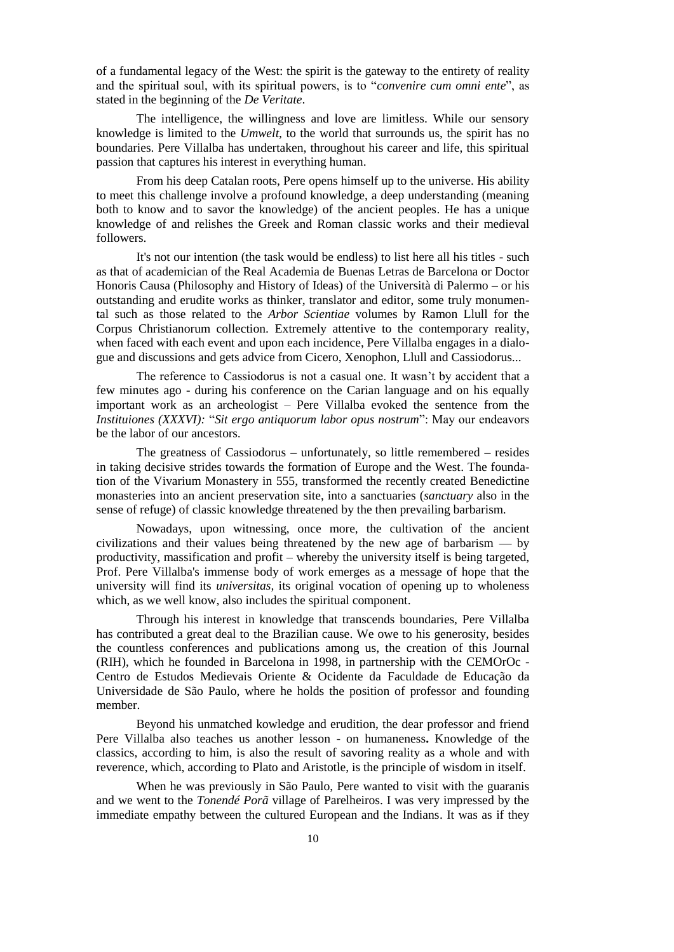of a fundamental legacy of the West: the spirit is the gateway to the entirety of reality and the spiritual soul, with its spiritual powers, is to "*convenire cum omni ente*", as stated in the beginning of the *De Veritate*.

The intelligence, the willingness and love are limitless. While our sensory knowledge is limited to the *Umwelt*, to the world that surrounds us, the spirit has no boundaries. Pere Villalba has undertaken, throughout his career and life, this spiritual passion that captures his interest in everything human.

From his deep Catalan roots, Pere opens himself up to the universe. His ability to meet this challenge involve a profound knowledge, a deep understanding (meaning both to know and to savor the knowledge) of the ancient peoples. He has a unique knowledge of and relishes the Greek and Roman classic works and their medieval followers.

It's not our intention (the task would be endless) to list here all his titles - such as that of academician of the Real Academia de Buenas Letras de Barcelona or Doctor Honoris Causa (Philosophy and History of Ideas) of the Università di Palermo – or his outstanding and erudite works as thinker, translator and editor, some truly monumental such as those related to the *Arbor Scientiae* volumes by Ramon Llull for the Corpus Christianorum collection. Extremely attentive to the contemporary reality, when faced with each event and upon each incidence, Pere Villalba engages in a dialogue and discussions and gets advice from Cicero, Xenophon, Llull and Cassiodorus...

The reference to Cassiodorus is not a casual one. It wasn't by accident that a few minutes ago - during his conference on the Carian language and on his equally important work as an archeologist – Pere Villalba evoked the sentence from the *Instituiones (XXXVI): "Sit ergo antiquorum labor opus nostrum": May our endeavors* be the labor of our ancestors.

The greatness of Cassiodorus – unfortunately, so little remembered – resides in taking decisive strides towards the formation of Europe and the West. The foundation of the Vivarium Monastery in 555, transformed the recently created Benedictine monasteries into an ancient preservation site, into a sanctuaries (*sanctuary* also in the sense of refuge) of classic knowledge threatened by the then prevailing barbarism.

Nowadays, upon witnessing, once more, the cultivation of the ancient civilizations and their values being threatened by the new age of barbarism — by productivity, massification and profit – whereby the university itself is being targeted, Prof. Pere Villalba's immense body of work emerges as a message of hope that the university will find its *universitas,* its original vocation of opening up to wholeness which, as we well know, also includes the spiritual component.

Through his interest in knowledge that transcends boundaries, Pere Villalba has contributed a great deal to the Brazilian cause. We owe to his generosity, besides the countless conferences and publications among us, the creation of this Journal (RIH), which he founded in Barcelona in 1998, in partnership with the CEMOrOc - Centro de Estudos Medievais Oriente & Ocidente da Faculdade de Educação da Universidade de São Paulo, where he holds the position of professor and founding member.

Beyond his unmatched kowledge and erudition, the dear professor and friend Pere Villalba also teaches us another lesson - on humaneness**.** Knowledge of the classics, according to him, is also the result of savoring reality as a whole and with reverence, which, according to Plato and Aristotle, is the principle of wisdom in itself.

When he was previously in São Paulo, Pere wanted to visit with the guaranis and we went to the *Tonendé Porã* village of Parelheiros. I was very impressed by the immediate empathy between the cultured European and the Indians. It was as if they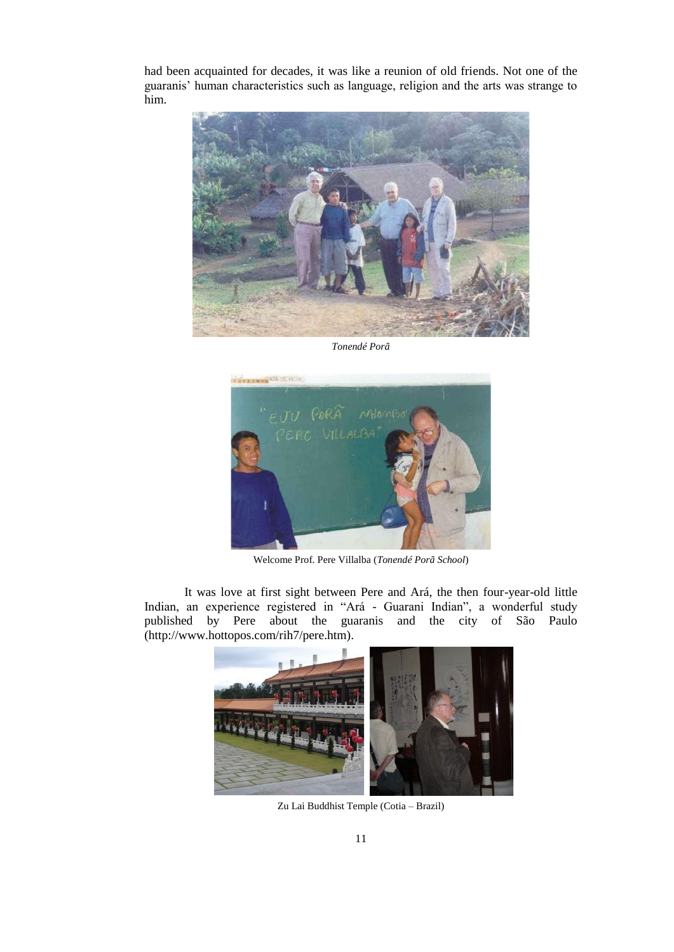had been acquainted for decades, it was like a reunion of old friends. Not one of the guaranis' human characteristics such as language, religion and the arts was strange to him.



*Tonendé Porã*



Welcome Prof. Pere Villalba (*Tonendé Porã School*)

It was love at first sight between Pere and Ará, the then four-year-old little Indian, an experience registered in "Ará - Guarani Indian", a wonderful study published by Pere about the guaranis and the city of São Paulo (http://www.hottopos.com/rih7/pere.htm).



Zu Lai Buddhist Temple (Cotia – Brazil)